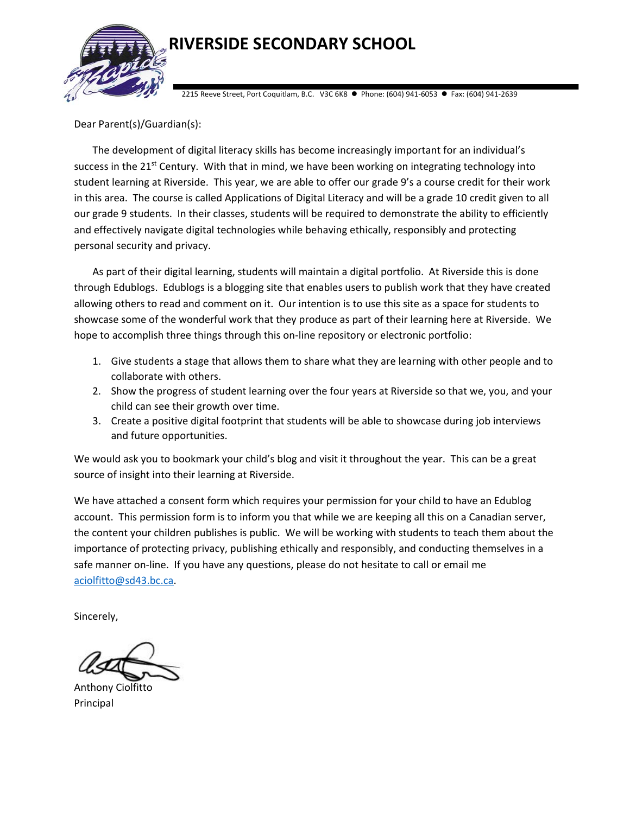

## **RIVERSIDE SECONDARY SCHOOL**

2215 Reeve Street, Port Coquitlam, B.C. V3C 6K8 Phone: (604) 941‐6053 Fax: (604) 941‐2639

Dear Parent(s)/Guardian(s):

The development of digital literacy skills has become increasingly important for an individual's success in the  $21<sup>st</sup>$  Century. With that in mind, we have been working on integrating technology into student learning at Riverside. This year, we are able to offer our grade 9's a course credit for their work in this area. The course is called Applications of Digital Literacy and will be a grade 10 credit given to all our grade 9 students. In their classes, students will be required to demonstrate the ability to efficiently and effectively navigate digital technologies while behaving ethically, responsibly and protecting personal security and privacy.

As part of their digital learning, students will maintain a digital portfolio. At Riverside this is done through Edublogs. Edublogs is a blogging site that enables users to publish work that they have created allowing others to read and comment on it. Our intention is to use this site as a space for students to showcase some of the wonderful work that they produce as part of their learning here at Riverside. We hope to accomplish three things through this on-line repository or electronic portfolio:

- 1. Give students a stage that allows them to share what they are learning with other people and to collaborate with others.
- 2. Show the progress of student learning over the four years at Riverside so that we, you, and your child can see their growth over time.
- 3. Create a positive digital footprint that students will be able to showcase during job interviews and future opportunities.

We would ask you to bookmark your child's blog and visit it throughout the year. This can be a great source of insight into their learning at Riverside.

We have attached a consent form which requires your permission for your child to have an Edublog account. This permission form is to inform you that while we are keeping all this on a Canadian server, the content your children publishes is public. We will be working with students to teach them about the importance of protecting privacy, publishing ethically and responsibly, and conducting themselves in a safe manner on-line. If you have any questions, please do not hesitate to call or email me aciolfitto@sd43.bc.ca.

Sincerely,

Anthony Ciolfitto Principal